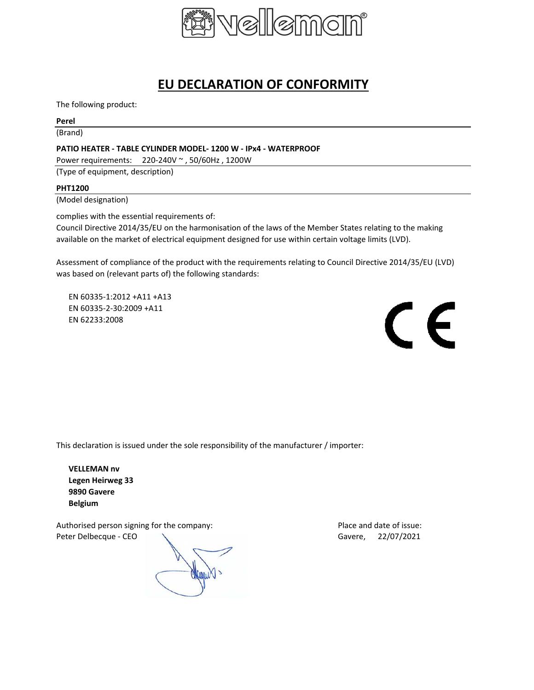

# **EU DECLARATION OF CONFORMITY**

The following product:

### **Perel**

(Brand)

## **PATIO HEATER - TABLE CYLINDER MODEL- 1200 W - IPx4 - WATERPROOF**

Power requirements: 220-240V ~ , 50/60Hz , 1200W

(Type of equipment, description)

### **PHT1200**

(Model designation)

complies with the essential requirements of:

Council Directive 2014/35/EU on the harmonisation of the laws of the Member States relating to the making available on the market of electrical equipment designed for use within certain voltage limits (LVD).

Assessment of compliance of the product with the requirements relating to Council Directive 2014/35/EU (LVD) was based on (relevant parts of) the following standards:

EN 60335-1:2012 +A11 +A13 EN 60335-2-30:2009 +A11 EN 62233:2008



This declaration is issued under the sole responsibility of the manufacturer / importer:

**VELLEMAN nv Legen Heirweg 33 9890 Gavere Belgium**

Authorised person signing for the company: Place and date of issue: Peter Delbecque - CEO COMPUTER CONTROL CONTROL CONTROL CONTROL CONTROL CONTROL CONTROL CONTROL CONTROL CONTROL CONTROL CONTROL CONTROL CONTROL CONTROL CONTROL CONTROL CONTROL CONTROL CONTROL CONTROL CONTROL CONTROL CONTROL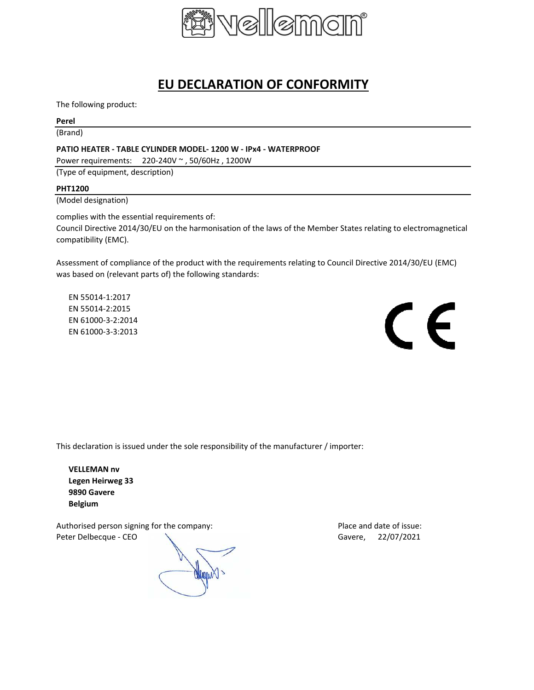

# **EU DECLARATION OF CONFORMITY**

The following product:

### **Perel**

(Brand)

### **PATIO HEATER - TABLE CYLINDER MODEL- 1200 W - IPx4 - WATERPROOF**

Power requirements: 220-240V ~ , 50/60Hz , 1200W

(Type of equipment, description)

### **PHT1200**

(Model designation)

complies with the essential requirements of:

Council Directive 2014/30/EU on the harmonisation of the laws of the Member States relating to electromagnetical compatibility (EMC).

Assessment of compliance of the product with the requirements relating to Council Directive 2014/30/EU (EMC) was based on (relevant parts of) the following standards:

EN 55014-1:2017 EN 55014-2:2015 EN 61000-3-2:2014 EN 61000-3-3:2013



This declaration is issued under the sole responsibility of the manufacturer / importer:

**VELLEMAN nv Legen Heirweg 33 9890 Gavere Belgium**

Authorised person signing for the company: Place and date of issue: Peter Delbecque - CEO  $\sqrt{ }$  Gavere, 22/07/2021